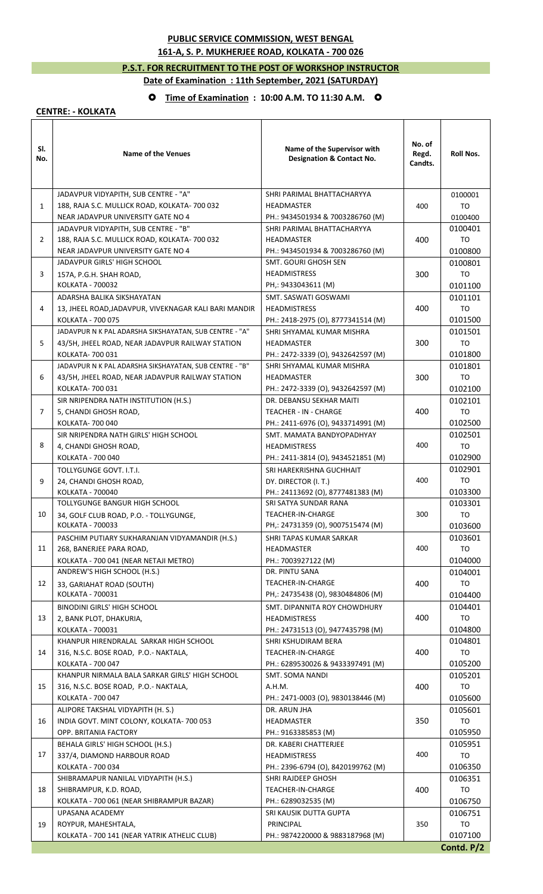## **PUBLIC SERVICE COMMISSION, WEST BENGAL 161-A, S. P. MUKHERJEE ROAD, KOLKATA - 700 026**

## **P.S.T. FOR RECRUITMENT TO THE POST OF WORKSHOP INSTRUCTOR Date of Examination : 11th September, 2021 (SATURDAY)**

## **Time of Examination : 10:00 A.M. TO 11:30 A.M.**

## **CENTRE: - KOLKATA**

| SI.<br>No.     | <b>Name of the Venues</b>                                                       | Name of the Supervisor with<br><b>Designation &amp; Contact No.</b> | No. of<br>Regd.<br>Candts. | <b>Roll Nos.</b> |
|----------------|---------------------------------------------------------------------------------|---------------------------------------------------------------------|----------------------------|------------------|
|                | JADAVPUR VIDYAPITH, SUB CENTRE - "A"                                            | SHRI PARIMAL BHATTACHARYYA                                          |                            | 0100001          |
| $\mathbf{1}$   | 188, RAJA S.C. MULLICK ROAD, KOLKATA- 700 032                                   | <b>HEADMASTER</b>                                                   | 400                        | TO               |
|                | NEAR JADAVPUR UNIVERSITY GATE NO 4                                              | PH.: 9434501934 & 7003286760 (M)                                    |                            | 0100400          |
| $\overline{2}$ | JADAVPUR VIDYAPITH, SUB CENTRE - "B"                                            | SHRI PARIMAL BHATTACHARYYA                                          | 400                        | 0100401          |
|                | 188, RAJA S.C. MULLICK ROAD, KOLKATA- 700 032                                   | <b>HEADMASTER</b>                                                   |                            | TO               |
|                | NEAR JADAVPUR UNIVERSITY GATE NO 4                                              | PH.: 9434501934 & 7003286760 (M)                                    |                            | 0100800          |
|                | JADAVPUR GIRLS' HIGH SCHOOL                                                     | SMT. GOURI GHOSH SEN                                                |                            | 0100801          |
| 3              | 157A, P.G.H. SHAH ROAD,                                                         | <b>HEADMISTRESS</b>                                                 | 300                        | TO               |
|                | KOLKATA - 700032                                                                | PH,: 9433043611 (M)                                                 |                            | 0101100          |
| 4              | ADARSHA BALIKA SIKSHAYATAN                                                      | SMT. SASWATI GOSWAMI                                                | 400                        | 0101101          |
|                | 13, JHEEL ROAD, JADAVPUR, VIVEKNAGAR KALI BARI MANDIR                           | <b>HEADMISTRESS</b>                                                 |                            | TO               |
|                | KOLKATA - 700 075                                                               | PH.: 2418-2975 (O), 8777341514 (M)                                  |                            | 0101500          |
|                | JADAVPUR N K PAL ADARSHA SIKSHAYATAN, SUB CENTRE - "A"                          | SHRI SHYAMAL KUMAR MISHRA                                           |                            | 0101501          |
| 5              | 43/5H, JHEEL ROAD, NEAR JADAVPUR RAILWAY STATION                                | HEADMASTER                                                          | 300                        | TO               |
|                | KOLKATA-700031                                                                  | PH.: 2472-3339 (O), 9432642597 (M)                                  |                            | 0101800          |
|                | JADAVPUR N K PAL ADARSHA SIKSHAYATAN, SUB CENTRE - "B"                          | SHRI SHYAMAL KUMAR MISHRA                                           |                            | 0101801          |
| 6              | 43/5H, JHEEL ROAD, NEAR JADAVPUR RAILWAY STATION                                | <b>HEADMASTER</b>                                                   | 300                        | TO               |
|                | KOLKATA- 700 031                                                                | PH.: 2472-3339 (O), 9432642597 (M)                                  |                            | 0102100          |
| $\overline{7}$ | SIR NRIPENDRA NATH INSTITUTION (H.S.)                                           | DR. DEBANSU SEKHAR MAITI                                            |                            | 0102101<br>TO    |
|                | 5, CHANDI GHOSH ROAD,<br>KOLKATA- 700 040                                       | TEACHER - IN - CHARGE<br>PH.: 2411-6976 (O), 9433714991 (M)         | 400                        | 0102500          |
|                | SIR NRIPENDRA NATH GIRLS' HIGH SCHOOL                                           | SMT. MAMATA BANDYOPADHYAY                                           |                            | 0102501          |
| 8              | 4, CHANDI GHOSH ROAD,                                                           | <b>HEADMISTRESS</b>                                                 | 400                        | TO               |
|                | KOLKATA - 700 040                                                               | PH.: 2411-3814 (O), 9434521851 (M)                                  |                            | 0102900          |
|                | TOLLYGUNGE GOVT. I.T.I.                                                         | SRI HAREKRISHNA GUCHHAIT                                            |                            | 0102901          |
| 9              | 24, CHANDI GHOSH ROAD,                                                          | DY. DIRECTOR (I. T.)                                                | 400                        | TO               |
|                | KOLKATA - 700040                                                                | PH.: 24113692 (O), 8777481383 (M)                                   |                            | 0103300          |
|                | TOLLYGUNGE BANGUR HIGH SCHOOL                                                   | SRI SATYA SUNDAR RANA                                               |                            | 0103301          |
| 10             | 34, GOLF CLUB ROAD, P.O. - TOLLYGUNGE,                                          | TEACHER-IN-CHARGE                                                   | 300                        | TO               |
|                | KOLKATA - 700033                                                                | PH,: 24731359 (O), 9007515474 (M)                                   |                            | 0103600          |
|                | PASCHIM PUTIARY SUKHARANJAN VIDYAMANDIR (H.S.)                                  | SHRI TAPAS KUMAR SARKAR                                             | 400                        | 0103601          |
| 11             | 268, BANERJEE PARA ROAD,                                                        | HEADMASTER                                                          |                            | TO               |
|                | KOLKATA - 700 041 (NEAR NETAJI METRO)                                           | PH.: 7003927122 (M)                                                 |                            | 0104000          |
|                | ANDREW'S HIGH SCHOOL (H.S.)                                                     | DR. PINTU SANA                                                      |                            | 0104001          |
| 12             | 33, GARIAHAT ROAD (SOUTH)                                                       | <b>TEACHER-IN-CHARGE</b>                                            | 400                        | TO               |
|                | KOLKATA - 700031                                                                | PH,: 24735438 (O), 9830484806 (M)                                   |                            | 0104400          |
|                | <b>BINODINI GIRLS' HIGH SCHOOL</b>                                              | SMT. DIPANNITA ROY CHOWDHURY                                        |                            | 0104401          |
| 13             | 2, BANK PLOT, DHAKURIA,                                                         | <b>HEADMISTRESS</b>                                                 | 400                        | TO               |
|                | KOLKATA - 700031                                                                | PH.: 24731513 (O), 9477435798 (M)                                   |                            | 0104800          |
| 14             | KHANPUR HIRENDRALAL SARKAR HIGH SCHOOL<br>316, N.S.C. BOSE ROAD, P.O.- NAKTALA, | SHRI KSHUDIRAM BERA<br>TEACHER-IN-CHARGE                            | 400                        | 0104801<br>TO    |
|                | KOLKATA - 700 047                                                               | PH.: 6289530026 & 9433397491 (M)                                    |                            | 0105200          |
|                | KHANPUR NIRMALA BALA SARKAR GIRLS' HIGH SCHOOL                                  | SMT. SOMA NANDI                                                     |                            | 0105201          |
| 15             | 316, N.S.C. BOSE ROAD, P.O.- NAKTALA,                                           | A.H.M.                                                              | 400                        | TO               |
|                | KOLKATA - 700 047                                                               | PH.: 2471-0003 (O), 9830138446 (M)                                  |                            | 0105600          |
|                | ALIPORE TAKSHAL VIDYAPITH (H. S.)                                               | DR. ARUN JHA                                                        |                            | 0105601          |
| 16             | INDIA GOVT. MINT COLONY, KOLKATA- 700 053                                       | HEADMASTER                                                          | 350                        | TO               |
|                | OPP. BRITANIA FACTORY                                                           | PH.: 9163385853 (M)                                                 |                            | 0105950          |
|                | BEHALA GIRLS' HIGH SCHOOL (H.S.)                                                | DR. KABERI CHATTERJEE                                               |                            | 0105951          |
| 17             | 337/4, DIAMOND HARBOUR ROAD                                                     | <b>HEADMISTRESS</b>                                                 | 400                        | TO               |
|                | KOLKATA - 700 034                                                               | PH.: 2396-6794 (O), 8420199762 (M)                                  |                            | 0106350          |
|                | SHIBRAMAPUR NANILAL VIDYAPITH (H.S.)                                            | SHRI RAJDEEP GHOSH                                                  |                            | 0106351          |
| 18             | SHIBRAMPUR, K.D. ROAD,                                                          | TEACHER-IN-CHARGE                                                   | 400                        | TO               |
|                | KOLKATA - 700 061 (NEAR SHIBRAMPUR BAZAR)                                       | PH.: 6289032535 (M)                                                 |                            | 0106750          |
| 19             | UPASANA ACADEMY                                                                 | SRI KAUSIK DUTTA GUPTA                                              | 350                        | 0106751          |
|                | ROYPUR, MAHESHTALA,                                                             | PRINCIPAL                                                           |                            | TO               |
|                | KOLKATA - 700 141 (NEAR YATRIK ATHELIC CLUB)                                    | PH.: 9874220000 & 9883187968 (M)                                    |                            | 0107100          |
|                |                                                                                 |                                                                     |                            | Contd. P/2       |